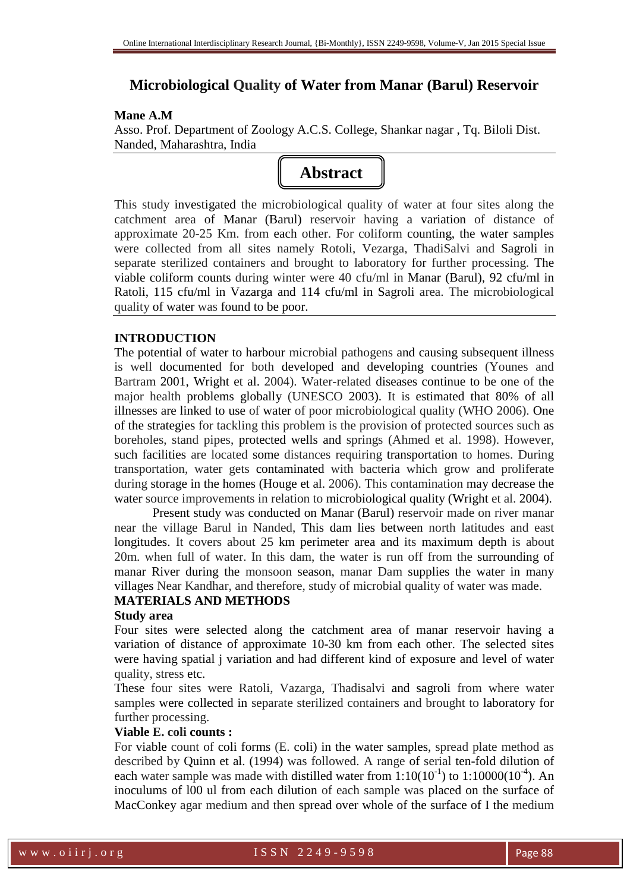# **Microbiological Quality of Water from Manar (Barul) Reservoir**

#### **Mane A.M**

Asso. Prof. Department of Zoology A.C.S. College, Shankar nagar , Tq. Biloli Dist. Nanded, Maharashtra, India



This study investigated the microbiological quality of water at four sites along the catchment area of Manar (Barul) reservoir having a variation of distance of approximate 20-25 Km. from each other. For coliform counting, the water samples were collected from all sites namely Rotoli, Vezarga, ThadiSalvi and Sagroli in separate sterilized containers and brought to laboratory for further processing. The viable coliform counts during winter were 40 cfu/ml in Manar (Barul), 92 cfu/ml in Ratoli, 115 cfu/ml in Vazarga and 114 cfu/ml in Sagroli area. The microbiological quality of water was found to be poor.

## **INTRODUCTION**

The potential of water to harbour microbial pathogens and causing subsequent illness is well documented for both developed and developing countries (Younes and Bartram 2001, Wright et al. 2004). Water-related diseases continue to be one of the major health problems globally (UNESCO 2003). It is estimated that 80% of all illnesses are linked to use of water of poor microbiological quality (WHO 2006). One of the strategies for tackling this problem is the provision of protected sources such as boreholes, stand pipes, protected wells and springs (Ahmed et al. 1998). However, such facilities are located some distances requiring transportation to homes. During transportation, water gets contaminated with bacteria which grow and proliferate during storage in the homes (Houge et al. 2006). This contamination may decrease the water source improvements in relation to microbiological quality (Wright et al. 2004).

Present study was conducted on Manar (Barul) reservoir made on river manar near the village Barul in Nanded, This dam lies between north latitudes and east longitudes. It covers about 25 km perimeter area and its maximum depth is about 20m. when full of water. In this dam, the water is run off from the surrounding of manar River during the monsoon season, manar Dam supplies the water in many villages Near Kandhar, and therefore, study of microbial quality of water was made.

# **MATERIALS AND METHODS**

### **Study area**

Four sites were selected along the catchment area of manar reservoir having a variation of distance of approximate 10-30 km from each other. The selected sites were having spatial j variation and had different kind of exposure and level of water quality, stress etc.

These four sites were Ratoli, Vazarga, Thadisalvi and sagroli from where water samples were collected in separate sterilized containers and brought to laboratory for further processing.

## **Viable E. coli counts :**

For viable count of coli forms (E. coli) in the water samples, spread plate method as described by Quinn et al. (1994) was followed. A range of serial ten-fold dilution of each water sample was made with distilled water from  $1:10(10^{-1})$  to  $1:10000(10^{-4})$ . An inoculums of l00 ul from each dilution of each sample was placed on the surface of MacConkey agar medium and then spread over whole of the surface of I the medium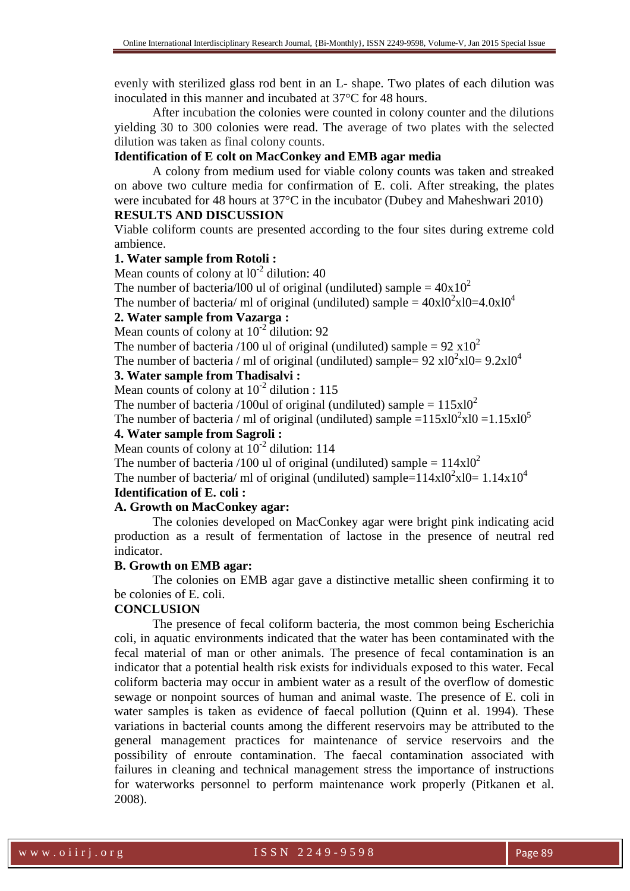evenly with sterilized glass rod bent in an L- shape. Two plates of each dilution was inoculated in this manner and incubated at 37°C for 48 hours.

After incubation the colonies were counted in colony counter and the dilutions yielding 30 to 300 colonies were read. The average of two plates with the selected dilution was taken as final colony counts.

# **Identification of E colt on MacConkey and EMB agar media**

A colony from medium used for viable colony counts was taken and streaked on above two culture media for confirmation of E. coli. After streaking, the plates were incubated for 48 hours at 37°C in the incubator (Dubey and Maheshwari 2010)

#### **RESULTS AND DISCUSSION**

Viable coliform counts are presented according to the four sites during extreme cold ambience.

#### **1. Water sample from Rotoli :**

Mean counts of colony at  $10^{-2}$  dilution: 40 The number of bacteria/100 ul of original (undiluted) sample =  $40x10^2$ 

The number of bacteria/ ml of original (undiluted) sample =  $40x10^2x10=4.0x10^4$ 

#### **2. Water sample from Vazarga :**

Mean counts of colony at  $10^{-2}$  dilution: 92

The number of bacteria /100 ul of original (undiluted) sample =  $92 \times 10^2$ 

The number of bacteria / ml of original (undiluted) sample=  $92 \times 10^2 \times 10 = 9.2 \times 10^4$ 

# **3. Water sample from Thadisalvi :**

Mean counts of colony at  $10^{-2}$  dilution : 115

The number of bacteria /100ul of original (undiluted) sample =  $115x10^2$ 

The number of bacteria / ml of original (undiluted) sample = 
$$
115 \times 10^2 \times 10 = 1.15 \times 10^5
$$

# **4. Water sample from Sagroli :**

Mean counts of colony at  $10^{-2}$  dilution: 114

The number of bacteria /100 ul of original (undiluted) sample =  $114x10^2$ 

The number of bacteria/ ml of original (undiluted) sample= $114 \times 10^2 \times 10 = 1.14 \times 10^4$ 

# **Identification of E. coli :**

# **A. Growth on MacConkey agar:**

The colonies developed on MacConkey agar were bright pink indicating acid production as a result of fermentation of lactose in the presence of neutral red indicator.

## **B. Growth on EMB agar:**

The colonies on EMB agar gave a distinctive metallic sheen confirming it to be colonies of E. coli.

## **CONCLUSION**

The presence of fecal coliform bacteria, the most common being Escherichia coli, in aquatic environments indicated that the water has been contaminated with the fecal material of man or other animals. The presence of fecal contamination is an indicator that a potential health risk exists for individuals exposed to this water. Fecal coliform bacteria may occur in ambient water as a result of the overflow of domestic sewage or nonpoint sources of human and animal waste. The presence of E. coli in water samples is taken as evidence of faecal pollution (Quinn et al. 1994). These variations in bacterial counts among the different reservoirs may be attributed to the general management practices for maintenance of service reservoirs and the possibility of enroute contamination. The faecal contamination associated with failures in cleaning and technical management stress the importance of instructions for waterworks personnel to perform maintenance work properly (Pitkanen et al. 2008).